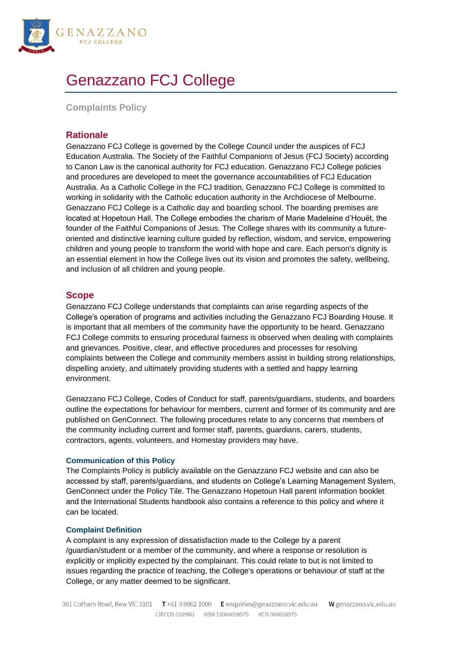

# Genazzano FCJ College

**Complaints Policy**

# **Rationale**

Genazzano FCJ College is governed by the College Council under the auspices of FCJ Education Australia. The Society of the Faithful Companions of Jesus (FCJ Society) according to Canon Law is the canonical authority for FCJ education. Genazzano FCJ College policies and procedures are developed to meet the governance accountabilities of FCJ Education Australia. As a Catholic College in the FCJ tradition, Genazzano FCJ College is committed to working in solidarity with the Catholic education authority in the Archdiocese of Melbourne. Genazzano FCJ College is a Catholic day and boarding school. The boarding premises are located at Hopetoun Hall. The College embodies the charism of Marie Madeleine d'Houët, the founder of the Faithful Companions of Jesus. The College shares with its community a futureoriented and distinctive learning culture guided by reflection, wisdom, and service, empowering children and young people to transform the world with hope and care. Each person's dignity is an essential element in how the College lives out its vision and promotes the safety, wellbeing, and inclusion of all children and young people.

# **Scope**

Genazzano FCJ College understands that complaints can arise regarding aspects of the College's operation of programs and activities including the Genazzano FCJ Boarding House. It is important that all members of the community have the opportunity to be heard. Genazzano FCJ College commits to ensuring procedural fairness is observed when dealing with complaints and grievances. Positive, clear, and effective procedures and processes for resolving complaints between the College and community members assist in building strong relationships, dispelling anxiety, and ultimately providing students with a settled and happy learning environment.

Genazzano FCJ College, Codes of Conduct for staff, parents/guardians, students, and boarders outline the expectations for behaviour for members, current and former of its community and are published on GenConnect. The following procedures relate to any concerns that members of the community including current and former staff, parents, guardians, carers, students, contractors, agents, volunteers, and Homestay providers may have.

## **Communication of this Policy**

The Complaints Policy is publicly available on the Genazzano FCJ website and can also be accessed by staff, parents/guardians, and students on College's Learning Management System, GenConnect under the Policy Tile. The Genazzano Hopetoun Hall parent information booklet and the International Students handbook also contains a reference to this policy and where it can be located.

## **Complaint Definition**

A complaint is any expression of dissatisfaction made to the College by a parent /guardian/student or a member of the community, and where a response or resolution is explicitly or implicitly expected by the complainant. This could relate to but is not limited to issues regarding the practice of teaching, the College's operations or behaviour of staff at the College, or any matter deemed to be significant.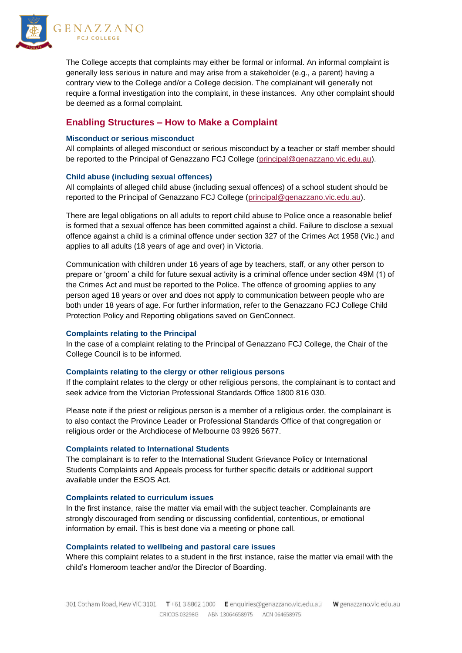

The College accepts that complaints may either be formal or informal. An informal complaint is generally less serious in nature and may arise from a stakeholder (e.g., a parent) having a contrary view to the College and/or a College decision. The complainant will generally not require a formal investigation into the complaint, in these instances. Any other complaint should be deemed as a formal complaint.

# **Enabling Structures – How to Make a Complaint**

#### **Misconduct or serious misconduct**

All complaints of alleged misconduct or serious misconduct by a teacher or staff member should be reported to the Principal of Genazzano FCJ College [\(principal@genazzano.vic.edu.au\)](mailto:principal@genazzano.vic.edu.au).

#### **Child abuse (including sexual offences)**

All complaints of alleged child abuse (including sexual offences) of a school student should be reported to the Principal of Genazzano FCJ College [\(principal@genazzano.vic.edu.au\)](mailto:principal@genazzano.vic.edu.au).

There are legal obligations on all adults to report child abuse to Police once a reasonable belief is formed that a sexual offence has been committed against a child. Failure to disclose a sexual offence against a child is a criminal offence under section 327 of the Crimes Act 1958 (Vic.) and applies to all adults (18 years of age and over) in Victoria.

Communication with children under 16 years of age by teachers, staff, or any other person to prepare or 'groom' a child for future sexual activity is a criminal offence under section 49M (1) of the Crimes Act and must be reported to the Police. The offence of grooming applies to any person aged 18 years or over and does not apply to communication between people who are both under 18 years of age. For further information, refer to the Genazzano FCJ College Child Protection Policy and Reporting obligations saved on GenConnect.

## **Complaints relating to the Principal**

In the case of a complaint relating to the Principal of Genazzano FCJ College, the Chair of the College Council is to be informed.

#### **Complaints relating to the clergy or other religious persons**

If the complaint relates to the clergy or other religious persons, the complainant is to contact and seek advice from the Victorian Professional Standards Office 1800 816 030.

Please note if the priest or religious person is a member of a religious order, the complainant is to also contact the Province Leader or Professional Standards Office of that congregation or religious order or the Archdiocese of Melbourne 03 9926 5677.

#### **Complaints related to International Students**

The complainant is to refer to the International Student Grievance Policy or International Students Complaints and Appeals process for further specific details or additional support available under the ESOS Act.

#### **Complaints related to curriculum issues**

In the first instance, raise the matter via email with the subject teacher. Complainants are strongly discouraged from sending or discussing confidential, contentious, or emotional information by email. This is best done via a meeting or phone call.

## **Complaints related to wellbeing and pastoral care issues**

Where this complaint relates to a student in the first instance, raise the matter via email with the child's Homeroom teacher and/or the Director of Boarding.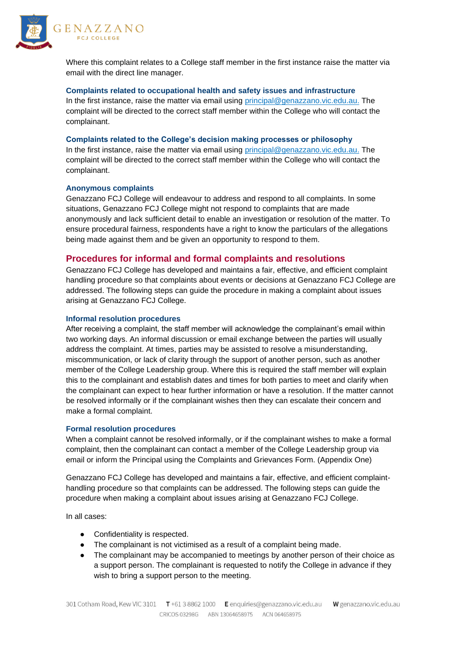



Where this complaint relates to a College staff member in the first instance raise the matter via email with the direct line manager.

## **Complaints related to occupational health and safety issues and infrastructure**

In the first instance, raise the matter via email using [principal@genazzano.vic.edu.au.](mailto:principal@genazzano.vic.edu.au) The complaint will be directed to the correct staff member within the College who will contact the complainant.

## **Complaints related to the College's decision making processes or philosophy**

In the first instance, raise the matter via email using [principal@genazzano.vic.edu.au.](mailto:principal@genazzano.vic.edu.au) The complaint will be directed to the correct staff member within the College who will contact the complainant.

## **Anonymous complaints**

Genazzano FCJ College will endeavour to address and respond to all complaints. In some situations, Genazzano FCJ College might not respond to complaints that are made anonymously and lack sufficient detail to enable an investigation or resolution of the matter. To ensure procedural fairness, respondents have a right to know the particulars of the allegations being made against them and be given an opportunity to respond to them.

# **Procedures for informal and formal complaints and resolutions**

Genazzano FCJ College has developed and maintains a fair, effective, and efficient complaint handling procedure so that complaints about events or decisions at Genazzano FCJ College are addressed. The following steps can guide the procedure in making a complaint about issues arising at Genazzano FCJ College.

## **Informal resolution procedures**

After receiving a complaint, the staff member will acknowledge the complainant's email within two working days. An informal discussion or email exchange between the parties will usually address the complaint. At times, parties may be assisted to resolve a misunderstanding, miscommunication, or lack of clarity through the support of another person, such as another member of the College Leadership group. Where this is required the staff member will explain this to the complainant and establish dates and times for both parties to meet and clarify when the complainant can expect to hear further information or have a resolution. If the matter cannot be resolved informally or if the complainant wishes then they can escalate their concern and make a formal complaint.

## **Formal resolution procedures**

When a complaint cannot be resolved informally, or if the complainant wishes to make a formal complaint, then the complainant can contact a member of the College Leadership group via email or inform the Principal using the Complaints and Grievances Form. (Appendix One)

Genazzano FCJ College has developed and maintains a fair, effective, and efficient complainthandling procedure so that complaints can be addressed. The following steps can guide the procedure when making a complaint about issues arising at Genazzano FCJ College.

In all cases:

- Confidentiality is respected.
- The complainant is not victimised as a result of a complaint being made.
- The complainant may be accompanied to meetings by another person of their choice as a support person. The complainant is requested to notify the College in advance if they wish to bring a support person to the meeting.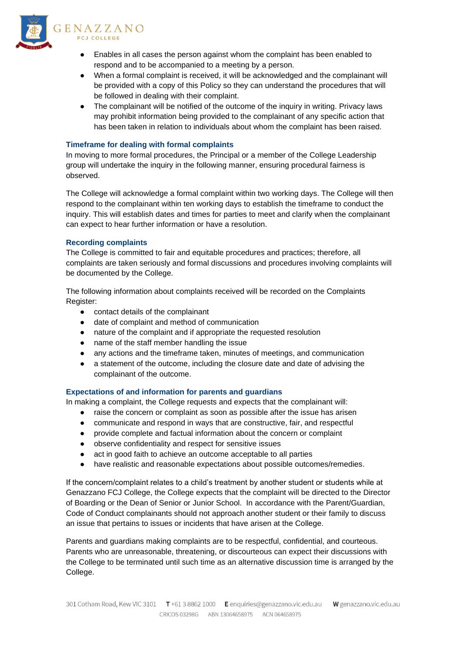

#### GENAZZANO **FCJ COLLEGE**

- Enables in all cases the person against whom the complaint has been enabled to respond and to be accompanied to a meeting by a person.
- When a formal complaint is received, it will be acknowledged and the complainant will be provided with a copy of this Policy so they can understand the procedures that will be followed in dealing with their complaint.
- The complainant will be notified of the outcome of the inquiry in writing. Privacy laws may prohibit information being provided to the complainant of any specific action that has been taken in relation to individuals about whom the complaint has been raised.

# **Timeframe for dealing with formal complaints**

In moving to more formal procedures, the Principal or a member of the College Leadership group will undertake the inquiry in the following manner, ensuring procedural fairness is observed.

The College will acknowledge a formal complaint within two working days. The College will then respond to the complainant within ten working days to establish the timeframe to conduct the inquiry. This will establish dates and times for parties to meet and clarify when the complainant can expect to hear further information or have a resolution.

# **Recording complaints**

The College is committed to fair and equitable procedures and practices; therefore, all complaints are taken seriously and formal discussions and procedures involving complaints will be documented by the College.

The following information about complaints received will be recorded on the Complaints Register:

- contact details of the complainant
- date of complaint and method of communication
- nature of the complaint and if appropriate the requested resolution
- name of the staff member handling the issue
- any actions and the timeframe taken, minutes of meetings, and communication
- a statement of the outcome, including the closure date and date of advising the complainant of the outcome.

## **Expectations of and information for parents and guardians**

In making a complaint, the College requests and expects that the complainant will:

- raise the concern or complaint as soon as possible after the issue has arisen
- communicate and respond in ways that are constructive, fair, and respectful
- provide complete and factual information about the concern or complaint
- observe confidentiality and respect for sensitive issues
- act in good faith to achieve an outcome acceptable to all parties
- have realistic and reasonable expectations about possible outcomes/remedies.

If the concern/complaint relates to a child's treatment by another student or students while at Genazzano FCJ College, the College expects that the complaint will be directed to the Director of Boarding or the Dean of Senior or Junior School. In accordance with the Parent/Guardian, Code of Conduct complainants should not approach another student or their family to discuss an issue that pertains to issues or incidents that have arisen at the College.

Parents and guardians making complaints are to be respectful, confidential, and courteous. Parents who are unreasonable, threatening, or discourteous can expect their discussions with the College to be terminated until such time as an alternative discussion time is arranged by the College.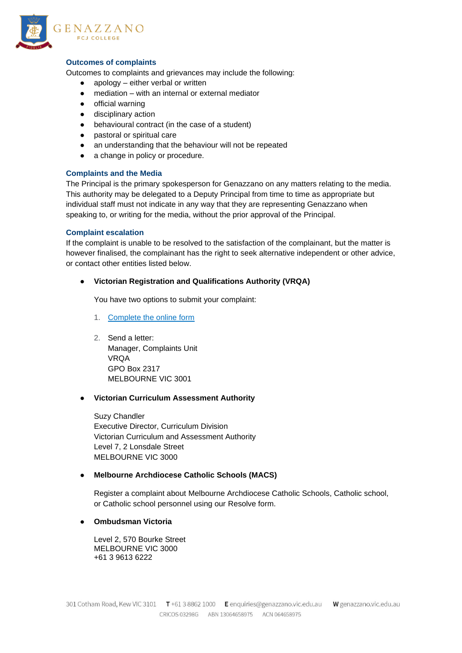

## **Outcomes of complaints**

Outcomes to complaints and grievances may include the following:

- $a$  apology either verbal or written
- $median with$  an internal or external mediator
- official warning
- disciplinary action
- behavioural contract (in the case of a student)
- pastoral or spiritual care
- an understanding that the behaviour will not be repeated
- a change in policy or procedure.

## **Complaints and the Media**

The Principal is the primary spokesperson for Genazzano on any matters relating to the media. This authority may be delegated to a Deputy Principal from time to time as appropriate but individual staff must not indicate in any way that they are representing Genazzano when speaking to, or writing for the media, without the prior approval of the Principal.

#### **Complaint escalation**

If the complaint is unable to be resolved to the satisfaction of the complainant, but the matter is however finalised, the complainant has the right to seek alternative independent or other advice, or contact other entities listed below.

#### ● **Victorian Registration and Qualifications Authority (VRQA)**

You have two options to submit your complaint:

- 1. [Complete the online form](http://www.vrqa.vic.gov.au/StateRegister/Public.aspx/LodgeComplaint)
- 2. Send a letter: Manager, Complaints Unit VRQA GPO Box 2317 MELBOURNE VIC 3001

#### ● **Victorian Curriculum Assessment Authority**

Suzy Chandler Executive Director, Curriculum Division Victorian Curriculum and Assessment Authority Level 7, 2 Lonsdale Street MELBOURNE VIC 3000

## ● **Melbourne Archdiocese Catholic Schools (MACS)**

Register a complaint about Melbourne Archdiocese Catholic Schools, Catholic school, or Catholic school personnel using our [Resolve form.](https://cem.poloniouslive.com/webform/ResolveWebForm)

● **Ombudsman Victoria**

Level 2, 570 Bourke Street MELBOURNE VIC 3000 +61 3 9613 6222